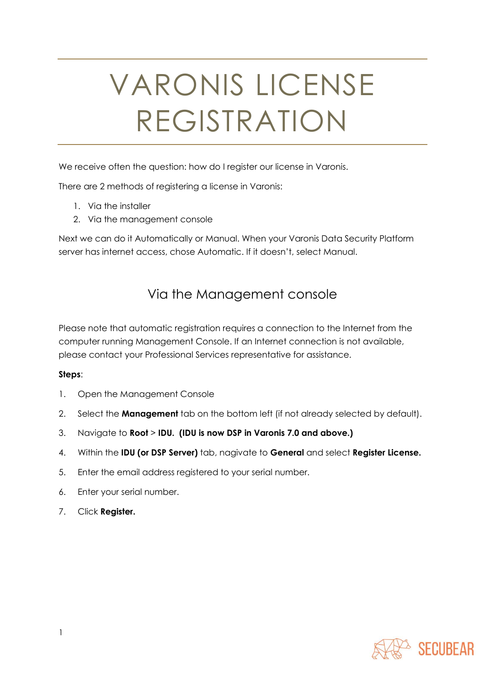# VARONIS LICENSE REGISTRATION

We receive often the question: how do I register our license in Varonis.

There are 2 methods of registering a license in Varonis:

- 1. Via the installer
- 2. Via the management console

Next we can do it Automatically or Manual. When your Varonis Data Security Platform server has internet access, chose Automatic. If it doesn't, select Manual.

### Via the Management console

Please note that automatic registration requires a connection to the Internet from the computer running Management Console. If an Internet connection is not available, please contact your Professional Services representative for assistance.

#### **Steps**:

- 1. Open the Management Console
- 2. Select the **Management** tab on the bottom left (if not already selected by default).
- 3. Navigate to **Root** > **IDU. (IDU is now DSP in Varonis 7.0 and above.)**
- 4. Within the **IDU (or DSP Server)** tab, nagivate to **General** and select **Register License.**
- 5. Enter the email address registered to your serial number.
- 6. Enter your serial number.
- 7. Click **Register.**

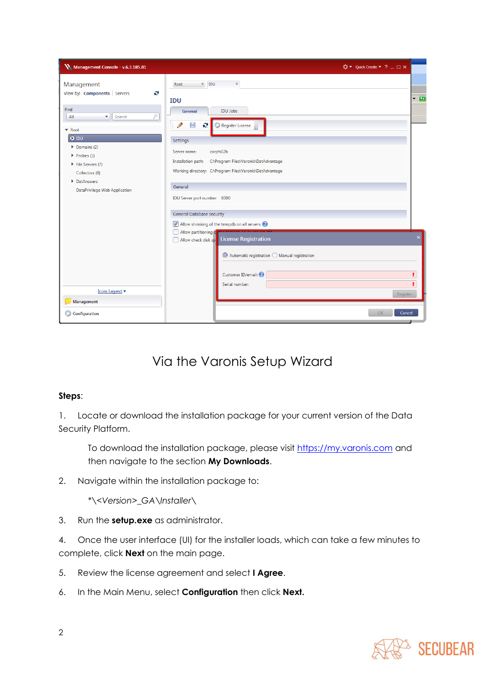| Management Console - v.6.3.185.81                                                                                                                                                                                                                       | ☆▼ Quick Create ▼ ? _ □ ×                                                                                                                                                                                                                                                                                                                                                                           |                    |
|---------------------------------------------------------------------------------------------------------------------------------------------------------------------------------------------------------------------------------------------------------|-----------------------------------------------------------------------------------------------------------------------------------------------------------------------------------------------------------------------------------------------------------------------------------------------------------------------------------------------------------------------------------------------------|--------------------|
| Management<br>View by: Components   Servers<br>e<br>Find<br>ρ<br>Search<br>All<br>v.<br>▼ Root<br>$\bullet$ IDU<br>Domains (2)<br>$\blacktriangleright$ Probes (1)<br>File Servers (7)<br>Collectors (0)<br>DatAnswers<br>DataPrivilege Web Application | $x$ IDU<br>Root<br>$\mathbb X$<br><b>IDU</b><br><b>IDU Jobs</b><br>General<br>E<br>e<br>Register License<br>Settings<br>corpfs02b<br>Server name:<br>Installation path:<br>C:\Program Files\Varonis\DatAdvantage<br>Working directory: C:\Program Files\Varonis\DatAdvantage<br>General<br>IDU Server port number 8000<br>General Database security<br>Allow shrinking of the tempdb on all servers | $-2$               |
| Icons Legend ▼<br>Management<br>Configuration<br>o                                                                                                                                                                                                      | Allow partitioning<br>Allow check disk sp License Registration<br>$\odot$ Automatic registration $\bigcirc$ Manual registration<br>Customer ID/email:<br>Serial number:<br>OK                                                                                                                                                                                                                       | Register<br>Cancel |

## Via the Varonis Setup Wizard

#### **Steps**:

1. Locate or download the installation package for your current version of the Data Security Platform.

To download the installation package, please visit [https://my.varonis.com](https://my.varonis.com/) and then navigate to the section **My Downloads**.

2. Navigate within the installation package to:

*\*\<Version>\_GA\Installer\*

3. Run the **setup.exe** as administrator.

4. Once the user interface (UI) for the installer loads, which can take a few minutes to complete, click **Next** on the main page.

- 5. Review the license agreement and select **I Agree**.
- 6. In the Main Menu, select **Configuration** then click **Next.**

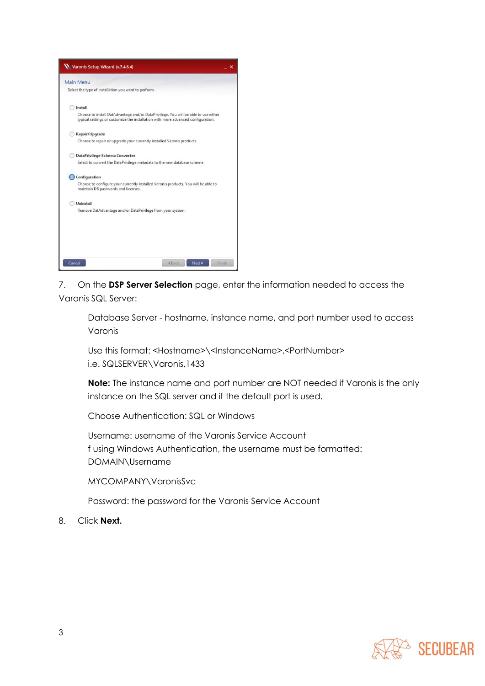

7. On the **DSP Server Selection** page, enter the information needed to access the Varonis SQL Server:

Database Server - hostname, instance name, and port number used to access Varonis

Use this format: <Hostname>\<InstanceName>,<PortNumber> i.e. SQLSERVER\Varonis,1433

**Note:** The instance name and port number are NOT needed if Varonis is the only instance on the SQL server and if the default port is used.

Choose Authentication: SQL or Windows

Username: username of the Varonis Service Account f using Windows Authentication, the username must be formatted: DOMAIN\Username

MYCOMPANY\VaronisSvc

Password: the password for the Varonis Service Account

8. Click **Next.**

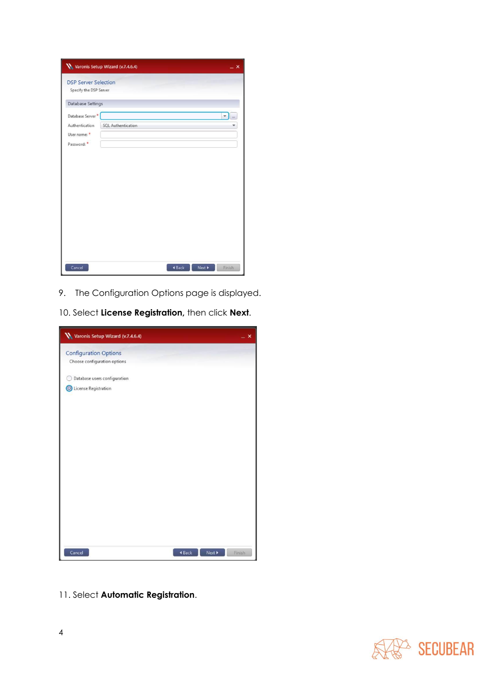|                              | Varonis Setup Wizard (v.7.4.6.4) |        |        | $\mathbf{x}$        |
|------------------------------|----------------------------------|--------|--------|---------------------|
| <b>DSP Server Selection</b>  |                                  |        |        |                     |
| Specify the DSP Server       |                                  |        |        |                     |
| Database Settings            |                                  |        |        |                     |
| Database Server <sup>*</sup> |                                  |        |        | $\bullet$ $\bullet$ |
| Authentication               | <b>SQL Authentication</b>        |        |        |                     |
| User name:                   |                                  |        |        |                     |
| Password:                    |                                  |        |        |                     |
|                              |                                  |        |        |                     |
|                              |                                  |        |        |                     |
|                              |                                  |        |        |                     |
|                              |                                  |        |        |                     |
|                              |                                  |        |        |                     |
|                              |                                  |        |        |                     |
|                              |                                  |        |        |                     |
|                              |                                  |        |        |                     |
|                              |                                  |        |        |                     |
|                              |                                  |        |        |                     |
|                              |                                  |        |        |                     |
|                              |                                  |        |        |                     |
| Cancel                       |                                  | 4 Back | Next > | Finish              |

- 9. The Configuration Options page is displayed.
- 10. Select **License Registration,** then click **Next**.

| Varonis Setup Wizard (v.7.4.6.4) |                  | $\boldsymbol{\mathsf{x}}$ |
|----------------------------------|------------------|---------------------------|
| <b>Configuration Options</b>     |                  |                           |
| Choose configuration options     |                  |                           |
| Database users configuration     |                  |                           |
| C License Registration           |                  |                           |
|                                  |                  |                           |
|                                  |                  |                           |
|                                  |                  |                           |
|                                  |                  |                           |
|                                  |                  |                           |
|                                  |                  |                           |
|                                  |                  |                           |
|                                  |                  |                           |
|                                  |                  |                           |
|                                  |                  |                           |
|                                  |                  |                           |
|                                  |                  |                           |
|                                  |                  |                           |
| Cancel                           | Next ><br>4 Back | Finish                    |

11. Select **Automatic Registration**.

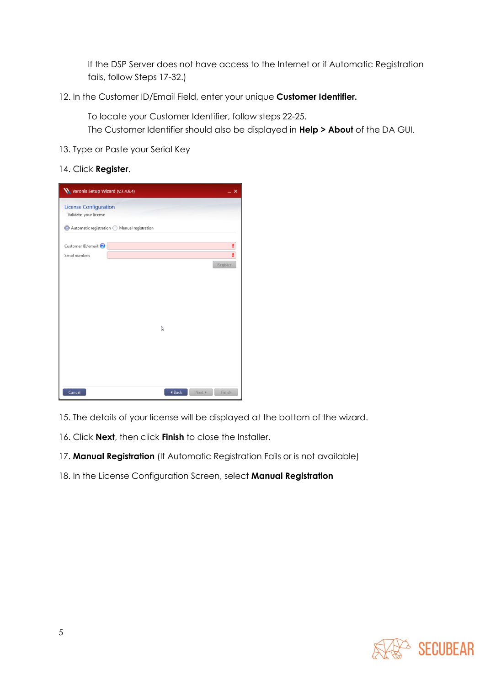If the DSP Server does not have access to the Internet or if Automatic Registration fails, follow Steps 17-32.)

12. In the Customer ID/Email Field, enter your unique **Customer Identifier.**

To locate your Customer Identifier, follow steps 22-25.

The Customer Identifier should also be displayed in **Help > About** of the DA GUI.

13. Type or Paste your Serial Key

#### 14. Click **Register**.

| Varonis Setup Wizard (v.7.4.6.4)                      |        | $- x$            |
|-------------------------------------------------------|--------|------------------|
| <b>License Configuration</b><br>Validate your license |        |                  |
| ◎ Automatic registration ● Manual registration        |        |                  |
| Customer ID/email:                                    |        | ŗ<br>ŗ           |
| Serial number:                                        |        | Register         |
|                                                       |        |                  |
|                                                       |        |                  |
|                                                       |        |                  |
|                                                       | B      |                  |
|                                                       |        |                  |
|                                                       |        |                  |
|                                                       |        |                  |
| Cancel                                                | 4 Back | Next ><br>Finish |

- 15. The details of your license will be displayed at the bottom of the wizard.
- 16. Click **Next**, then click **Finish** to close the Installer.
- 17. **Manual Registration** (If Automatic Registration Fails or is not available)
- 18. In the License Configuration Screen, select **Manual Registration**

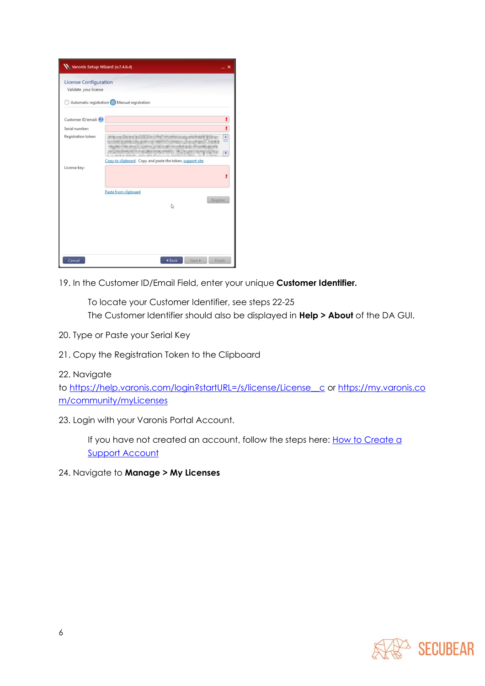| Varonis Setup Wizard (v.7.4.6.4)                      |                                                          | $\boldsymbol{\mathsf{x}}$                       |
|-------------------------------------------------------|----------------------------------------------------------|-------------------------------------------------|
| <b>License Configuration</b><br>Validate your license | Automatic registration O Manual registration             |                                                 |
|                                                       |                                                          |                                                 |
| Customer ID/email:                                    |                                                          | ł                                               |
| Serial number:                                        |                                                          | ŗ                                               |
| Registration token:                                   |                                                          | $\frac{1}{\sqrt{2}}$<br>$\overline{\mathbf{v}}$ |
|                                                       | Copy to clipboard Copy and paste the token. support site |                                                 |
| License key:                                          |                                                          |                                                 |
|                                                       | Paste from clipboard<br>Register<br>$\mathbb{Z}$         |                                                 |
|                                                       |                                                          |                                                 |
| Cancel                                                | Next »<br>Finish<br>4 Back                               |                                                 |

19. In the Customer ID/Email Field, enter your unique **Customer Identifier.**

To locate your Customer Identifier, see steps 22-25 The Customer Identifier should also be displayed in **Help > About** of the DA GUI.

- 20. Type or Paste your Serial Key
- 21. Copy the Registration Token to the Clipboard

#### 22. Navigate

to [https://help.varonis.com/login?startURL=/s/license/License\\_\\_c](https://help.varonis.com/login?startURL=/s/license/License__c) or [https://my.varonis.co](https://my.varonis.com/community/myLicenses) [m/community/myLicenses](https://my.varonis.com/community/myLicenses)

23. Login with your Varonis Portal Account.

If you have not created an account, follow the steps here: How to Create a **[Support Account](https://help.varonis.com/s/article/WDOC-2305)** 

24. Navigate to **Manage > My Licenses**

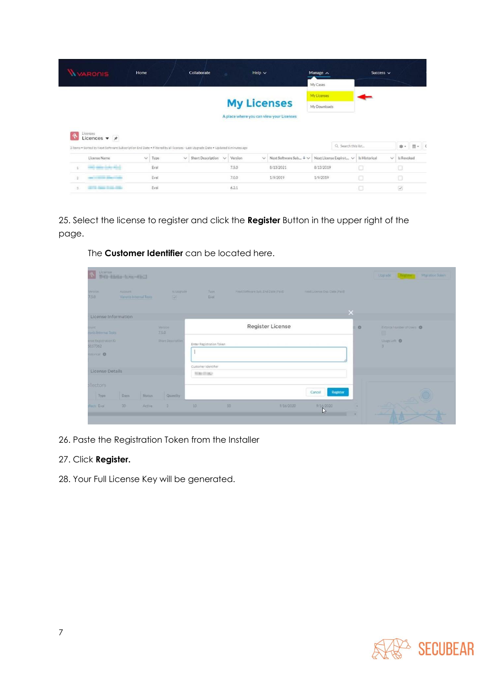|                | <b>WARONIS</b>                                                                                                                                         | Home         |      |              | Collaborate       |              |         | Help $\sim$  |                                          | Manage A     |                        | Success $\vee$ |   |            |         |
|----------------|--------------------------------------------------------------------------------------------------------------------------------------------------------|--------------|------|--------------|-------------------|--------------|---------|--------------|------------------------------------------|--------------|------------------------|----------------|---|------------|---------|
|                |                                                                                                                                                        |              |      |              |                   |              |         |              |                                          | My Cases     |                        |                |   |            |         |
|                |                                                                                                                                                        |              |      |              |                   |              |         |              |                                          | My Licenses  |                        |                |   |            |         |
|                |                                                                                                                                                        |              |      |              |                   |              |         |              | <b>My Licenses</b>                       | My Downloads |                        |                |   |            |         |
|                | <b>J</b> censes                                                                                                                                        |              |      |              |                   |              |         |              | A place where you can view your Licenses |              |                        |                |   |            |         |
|                | Licences $\bullet$ #<br>3 items . Sorted by Next Software Subscription End Date . Filtered by all licenses - Last Upgrade Date . Updated 6 minutes ago |              |      |              |                   |              |         |              |                                          |              | Q. Search this list    |                |   | 容。         | $m - c$ |
|                | License Name                                                                                                                                           | $\checkmark$ | Type | $\checkmark$ | Short Description | $\checkmark$ | Version | $\checkmark$ | Next Software Sub + v                    |              | Next License Expirat V | Is Historical  | v | Is Revoked |         |
|                | and min-bety-ring                                                                                                                                      |              | Eval |              |                   |              | 7.5.0   |              | 8/13/2021                                | 8/13/2019    |                        |                |   |            |         |
| $\overline{2}$ | and the first product of                                                                                                                               |              | Eval |              |                   |              | 7.0.0   |              | 1/9/2019                                 | 1/9/2019     |                        | o              |   | $\Box$     |         |

25. Select the license to register and click the **Register** Button in the upper right of the page.

| $\mathbf{S}_i$                                       | Ucense<br>SHEL BRIDE SURV-EDGE    |                                          |                                     |                                      |                                   |                  |                               |         | Upgrade Register Migration Token |
|------------------------------------------------------|-----------------------------------|------------------------------------------|-------------------------------------|--------------------------------------|-----------------------------------|------------------|-------------------------------|---------|----------------------------------|
| Verzion<br>7.5.0                                     | Account<br>Vaconis Internal Tests |                                          | <b>W.Upgrade</b><br>$\overline{56}$ | Type.<br>Eval                        | Next Software Sub. End Date (Pad) |                  | Next License Exp. Date (Paid) |         |                                  |
| License Information                                  |                                   |                                          |                                     |                                      |                                   |                  | $\times$                      |         |                                  |
| <b>Source</b><br>onis Internal Tests                 |                                   | Version<br>7.5.0                         |                                     |                                      |                                   | Register License |                               | $\circ$ | Enforce Number of Users<br>в     |
| ense Registration ID<br>5157362<br><b>Exterior O</b> |                                   | Short Description                        |                                     | Enter Registration Token             |                                   |                  |                               |         | Usage Left <b>O</b><br>з         |
| License Details                                      |                                   |                                          |                                     | Customer Identifier<br>Professionals |                                   |                  |                               |         |                                  |
| <b>Illectors</b>                                     |                                   |                                          |                                     |                                      |                                   |                  | Register<br>Cancel            |         |                                  |
| Type<br><b>Necb Eval</b>                             | <b>Days</b><br>30 <sub>1</sub>    | <b>Status</b><br>Quantity<br>3<br>Active |                                     | 10                                   | 50                                | 9/16/2020        | 9/16/2020<br>$\mathbb{R}$     | ٠       |                                  |

The **Customer Identifier** can be located here.

26. Paste the Registration Token from the Installer

#### 27. Click **Register.**

28. Your Full License Key will be generated.